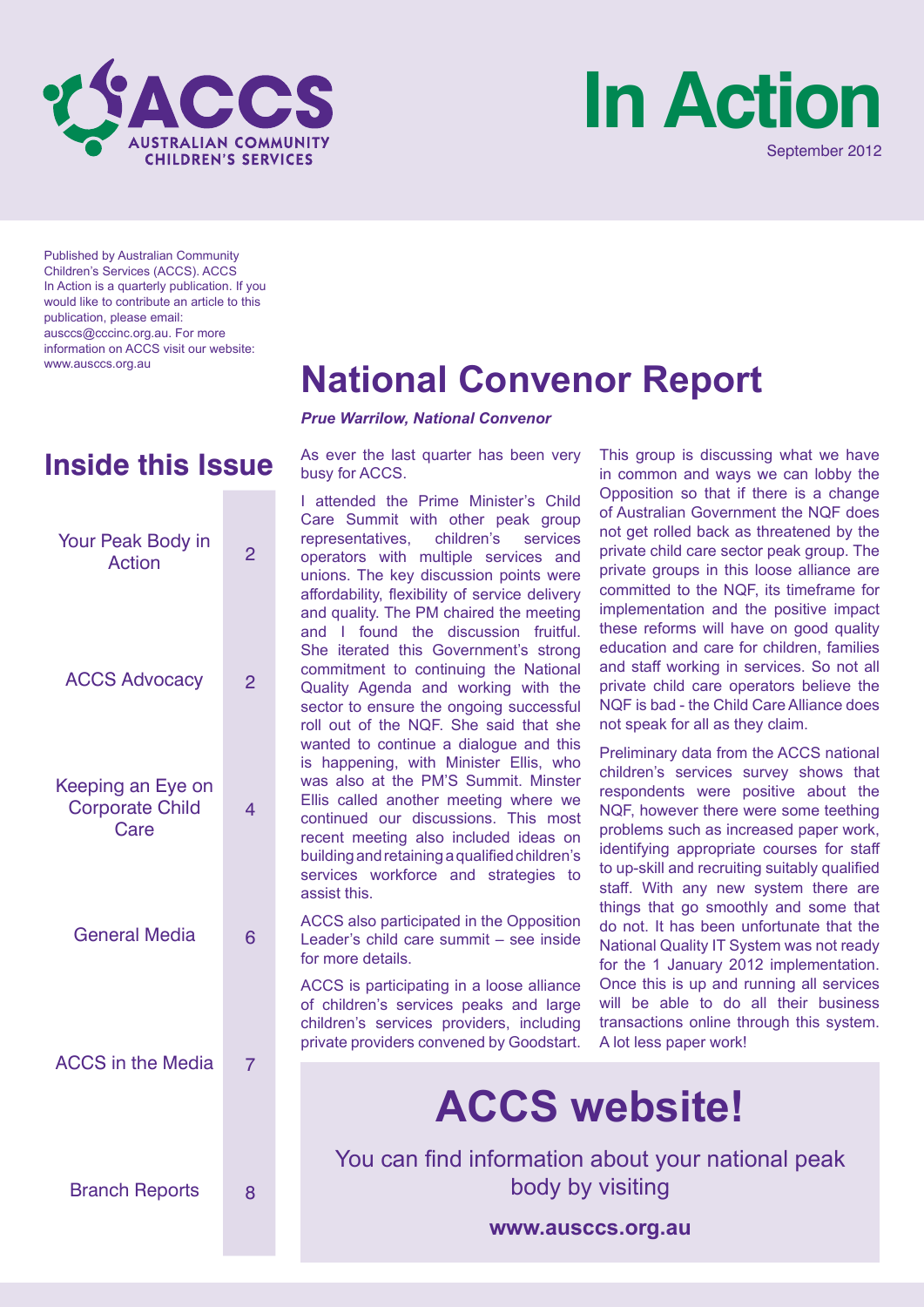



Published by Australian Community Children's Services (ACCS). ACCS In Action is a quarterly publication. If you would like to contribute an article to this publication, please email: ausccs@cccinc.org.au. For more information on ACCS visit our website:

| Your Peak Body in<br><b>Action</b>                  | $\overline{2}$ |
|-----------------------------------------------------|----------------|
| <b>ACCS Advocacy</b>                                | $\overline{2}$ |
| Keeping an Eye on<br><b>Corporate Child</b><br>Care | 4              |
| <b>General Media</b>                                | 6              |
| <b>ACCS</b> in the Media                            | $\overline{7}$ |
| <b>Branch Reports</b>                               | 8              |

# www.ausccs.org.au **National Convenor Report**

*Prue Warrilow, National Convenor*

**Inside this Issue** As ever the last quarter has been very busy for ACCS.

> I attended the Prime Minister's Child Care Summit with other peak group representatives, children's services operators with multiple services and unions. The key discussion points were affordability, flexibility of service delivery and quality. The PM chaired the meeting and I found the discussion fruitful. She iterated this Government's strong commitment to continuing the National Quality Agenda and working with the sector to ensure the ongoing successful roll out of the NQF. She said that she wanted to continue a dialogue and this is happening, with Minister Ellis, who was also at the PM'S Summit. Minster Ellis called another meeting where we continued our discussions. This most recent meeting also included ideas on building and retaining a qualified children's services workforce and strategies to assist this.

> ACCS also participated in the Opposition Leader's child care summit – see inside for more details.

> ACCS is participating in a loose alliance of children's services peaks and large children's services providers, including private providers convened by Goodstart.

This group is discussing what we have in common and ways we can lobby the Opposition so that if there is a change of Australian Government the NQF does not get rolled back as threatened by the private child care sector peak group. The private groups in this loose alliance are committed to the NQF, its timeframe for implementation and the positive impact these reforms will have on good quality education and care for children, families and staff working in services. So not all private child care operators believe the NQF is bad - the Child Care Alliance does not speak for all as they claim.

Preliminary data from the ACCS national children's services survey shows that respondents were positive about the NQF, however there were some teething problems such as increased paper work, identifying appropriate courses for staff to up-skill and recruiting suitably qualified staff. With any new system there are things that go smoothly and some that do not. It has been unfortunate that the National Quality IT System was not ready for the 1 January 2012 implementation. Once this is up and running all services will be able to do all their business transactions online through this system. A lot less paper work!

# **ACCS website!**

You can find information about your national peak body by visiting

**www.ausccs.org.au**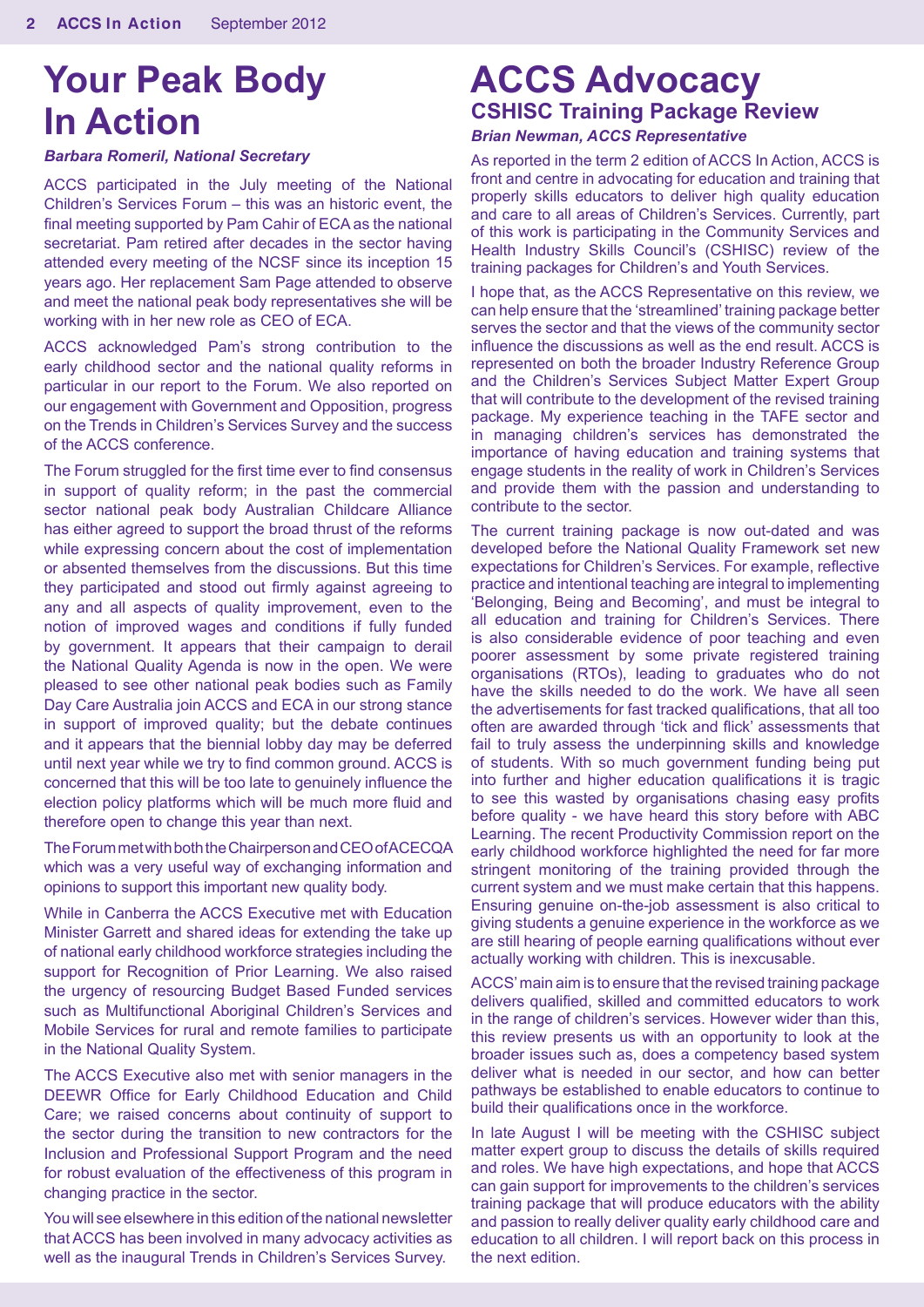# **Your Peak Body In Action**

#### *Barbara Romeril, National Secretary*

ACCS participated in the July meeting of the National Children's Services Forum – this was an historic event, the final meeting supported by Pam Cahir of ECA as the national secretariat. Pam retired after decades in the sector having attended every meeting of the NCSF since its inception 15 years ago. Her replacement Sam Page attended to observe and meet the national peak body representatives she will be working with in her new role as CEO of ECA.

ACCS acknowledged Pam's strong contribution to the early childhood sector and the national quality reforms in particular in our report to the Forum. We also reported on our engagement with Government and Opposition, progress on the Trends in Children's Services Survey and the success of the ACCS conference.

The Forum struggled for the first time ever to find consensus in support of quality reform; in the past the commercial sector national peak body Australian Childcare Alliance has either agreed to support the broad thrust of the reforms while expressing concern about the cost of implementation or absented themselves from the discussions. But this time they participated and stood out firmly against agreeing to any and all aspects of quality improvement, even to the notion of improved wages and conditions if fully funded by government. It appears that their campaign to derail the National Quality Agenda is now in the open. We were pleased to see other national peak bodies such as Family Day Care Australia join ACCS and ECA in our strong stance in support of improved quality; but the debate continues and it appears that the biennial lobby day may be deferred until next year while we try to find common ground. ACCS is concerned that this will be too late to genuinely influence the election policy platforms which will be much more fluid and therefore open to change this year than next.

The Forum met with both the Chairperson and CEO of ACECQA which was a very useful way of exchanging information and opinions to support this important new quality body.

While in Canberra the ACCS Executive met with Education Minister Garrett and shared ideas for extending the take up of national early childhood workforce strategies including the support for Recognition of Prior Learning. We also raised the urgency of resourcing Budget Based Funded services such as Multifunctional Aboriginal Children's Services and Mobile Services for rural and remote families to participate in the National Quality System.

The ACCS Executive also met with senior managers in the DEEWR Office for Early Childhood Education and Child Care; we raised concerns about continuity of support to the sector during the transition to new contractors for the Inclusion and Professional Support Program and the need for robust evaluation of the effectiveness of this program in changing practice in the sector.

You will see elsewhere in this edition of the national newsletter that ACCS has been involved in many advocacy activities as well as the inaugural Trends in Children's Services Survey.

# **ACCS Advocacy CSHISC Training Package Review**

#### *Brian Newman, ACCS Representative*

As reported in the term 2 edition of ACCS In Action, ACCS is front and centre in advocating for education and training that properly skills educators to deliver high quality education and care to all areas of Children's Services. Currently, part of this work is participating in the Community Services and Health Industry Skills Council's (CSHISC) review of the training packages for Children's and Youth Services.

I hope that, as the ACCS Representative on this review, we can help ensure that the 'streamlined' training package better serves the sector and that the views of the community sector influence the discussions as well as the end result. ACCS is represented on both the broader Industry Reference Group and the Children's Services Subject Matter Expert Group that will contribute to the development of the revised training package. My experience teaching in the TAFE sector and in managing children's services has demonstrated the importance of having education and training systems that engage students in the reality of work in Children's Services and provide them with the passion and understanding to contribute to the sector.

The current training package is now out-dated and was developed before the National Quality Framework set new expectations for Children's Services. For example, reflective practice and intentional teaching are integral to implementing 'Belonging, Being and Becoming', and must be integral to all education and training for Children's Services. There is also considerable evidence of poor teaching and even poorer assessment by some private registered training organisations (RTOs), leading to graduates who do not have the skills needed to do the work. We have all seen the advertisements for fast tracked qualifications, that all too often are awarded through 'tick and flick' assessments that fail to truly assess the underpinning skills and knowledge of students. With so much government funding being put into further and higher education qualifications it is tragic to see this wasted by organisations chasing easy profits before quality - we have heard this story before with ABC Learning. The recent Productivity Commission report on the early childhood workforce highlighted the need for far more stringent monitoring of the training provided through the current system and we must make certain that this happens. Ensuring genuine on-the-job assessment is also critical to giving students a genuine experience in the workforce as we are still hearing of people earning qualifications without ever actually working with children. This is inexcusable.

ACCS' main aim is to ensure that the revised training package delivers qualified, skilled and committed educators to work in the range of children's services. However wider than this, this review presents us with an opportunity to look at the broader issues such as, does a competency based system deliver what is needed in our sector, and how can better pathways be established to enable educators to continue to build their qualifications once in the workforce.

In late August I will be meeting with the CSHISC subject matter expert group to discuss the details of skills required and roles. We have high expectations, and hope that ACCS can gain support for improvements to the children's services training package that will produce educators with the ability and passion to really deliver quality early childhood care and education to all children. I will report back on this process in the next edition.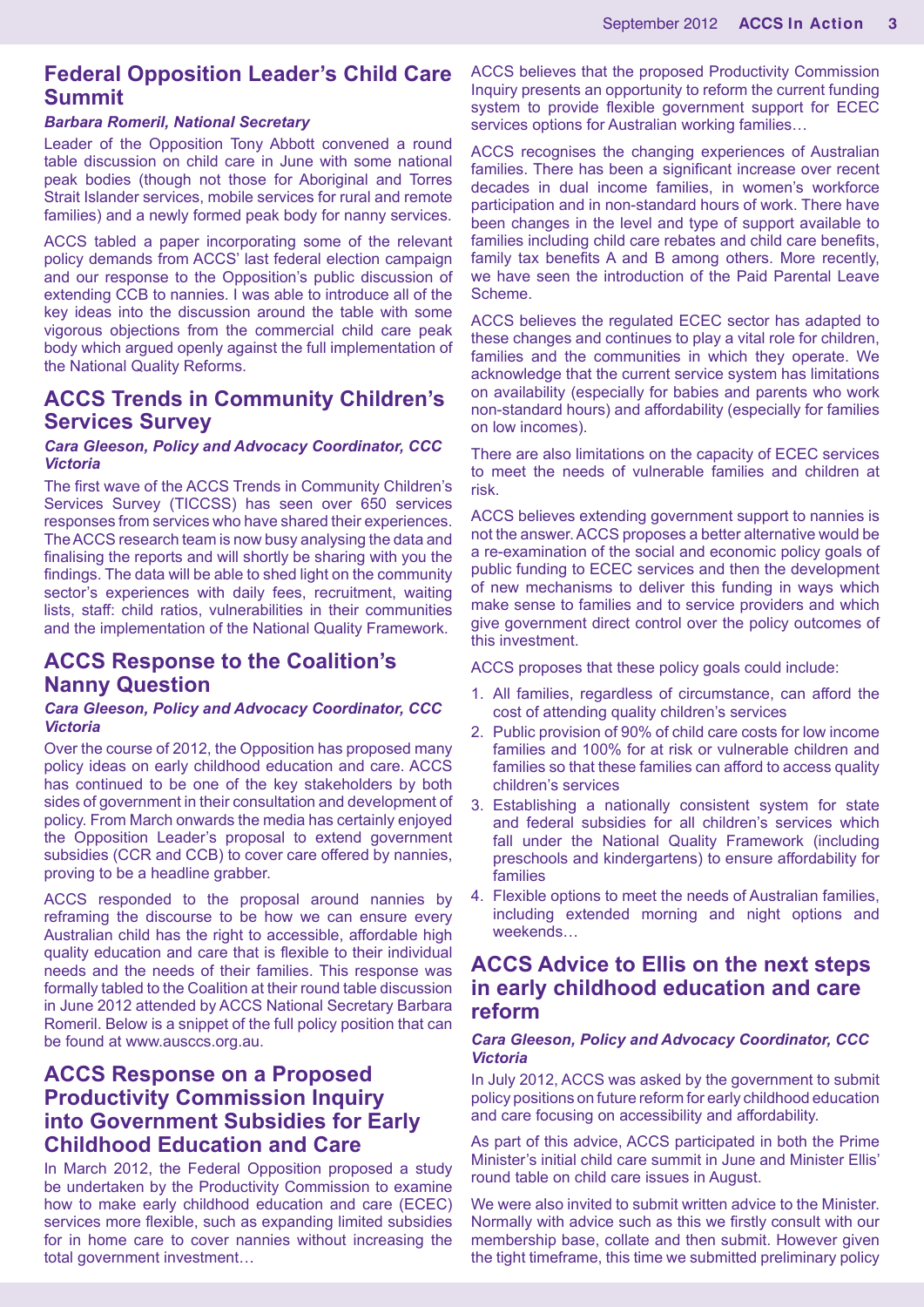### **Federal Opposition Leader's Child Care Summit**

#### *Barbara Romeril, National Secretary*

Leader of the Opposition Tony Abbott convened a round table discussion on child care in June with some national peak bodies (though not those for Aboriginal and Torres Strait Islander services, mobile services for rural and remote families) and a newly formed peak body for nanny services.

ACCS tabled a paper incorporating some of the relevant policy demands from ACCS' last federal election campaign and our response to the Opposition's public discussion of extending CCB to nannies. I was able to introduce all of the key ideas into the discussion around the table with some vigorous objections from the commercial child care peak body which argued openly against the full implementation of the National Quality Reforms.

## **ACCS Trends in Community Children's Services Survey**

#### *Cara Gleeson, Policy and Advocacy Coordinator, CCC Victoria*

The first wave of the ACCS Trends in Community Children's Services Survey (TICCSS) has seen over 650 services responses from services who have shared their experiences. The ACCS research team is now busy analysing the data and finalising the reports and will shortly be sharing with you the findings. The data will be able to shed light on the community sector's experiences with daily fees, recruitment, waiting lists, staff: child ratios, vulnerabilities in their communities and the implementation of the National Quality Framework.

# **ACCS Response to the Coalition's Nanny Question**

#### *Cara Gleeson, Policy and Advocacy Coordinator, CCC Victoria*

Over the course of 2012, the Opposition has proposed many policy ideas on early childhood education and care. ACCS has continued to be one of the key stakeholders by both sides of government in their consultation and development of policy. From March onwards the media has certainly enjoyed the Opposition Leader's proposal to extend government subsidies (CCR and CCB) to cover care offered by nannies, proving to be a headline grabber.

ACCS responded to the proposal around nannies by reframing the discourse to be how we can ensure every Australian child has the right to accessible, affordable high quality education and care that is flexible to their individual needs and the needs of their families. This response was formally tabled to the Coalition at their round table discussion in June 2012 attended by ACCS National Secretary Barbara Romeril. Below is a snippet of the full policy position that can be found at www.ausccs.org.au.

# **ACCS Response on a Proposed Productivity Commission Inquiry into Government Subsidies for Early Childhood Education and Care**

In March 2012, the Federal Opposition proposed a study be undertaken by the Productivity Commission to examine how to make early childhood education and care (ECEC) services more flexible, such as expanding limited subsidies for in home care to cover nannies without increasing the total government investment…

ACCS believes that the proposed Productivity Commission Inquiry presents an opportunity to reform the current funding system to provide flexible government support for ECEC services options for Australian working families…

ACCS recognises the changing experiences of Australian families. There has been a significant increase over recent decades in dual income families, in women's workforce participation and in non-standard hours of work. There have been changes in the level and type of support available to families including child care rebates and child care benefits, family tax benefits A and B among others. More recently, we have seen the introduction of the Paid Parental Leave Scheme.

ACCS believes the regulated ECEC sector has adapted to these changes and continues to play a vital role for children, families and the communities in which they operate. We acknowledge that the current service system has limitations on availability (especially for babies and parents who work non-standard hours) and affordability (especially for families on low incomes).

There are also limitations on the capacity of ECEC services to meet the needs of vulnerable families and children at risk.

ACCS believes extending government support to nannies is not the answer. ACCS proposes a better alternative would be a re-examination of the social and economic policy goals of public funding to ECEC services and then the development of new mechanisms to deliver this funding in ways which make sense to families and to service providers and which give government direct control over the policy outcomes of this investment.

ACCS proposes that these policy goals could include:

- 1. All families, regardless of circumstance, can afford the cost of attending quality children's services
- 2. Public provision of 90% of child care costs for low income families and 100% for at risk or vulnerable children and families so that these families can afford to access quality children's services
- 3. Establishing a nationally consistent system for state and federal subsidies for all children's services which fall under the National Quality Framework (including preschools and kindergartens) to ensure affordability for families
- 4. Flexible options to meet the needs of Australian families, including extended morning and night options and weekends…

## **ACCS Advice to Ellis on the next steps in early childhood education and care reform**

#### *Cara Gleeson, Policy and Advocacy Coordinator, CCC Victoria*

In July 2012, ACCS was asked by the government to submit policy positions on future reform for early childhood education and care focusing on accessibility and affordability.

As part of this advice, ACCS participated in both the Prime Minister's initial child care summit in June and Minister Ellis' round table on child care issues in August.

We were also invited to submit written advice to the Minister. Normally with advice such as this we firstly consult with our membership base, collate and then submit. However given the tight timeframe, this time we submitted preliminary policy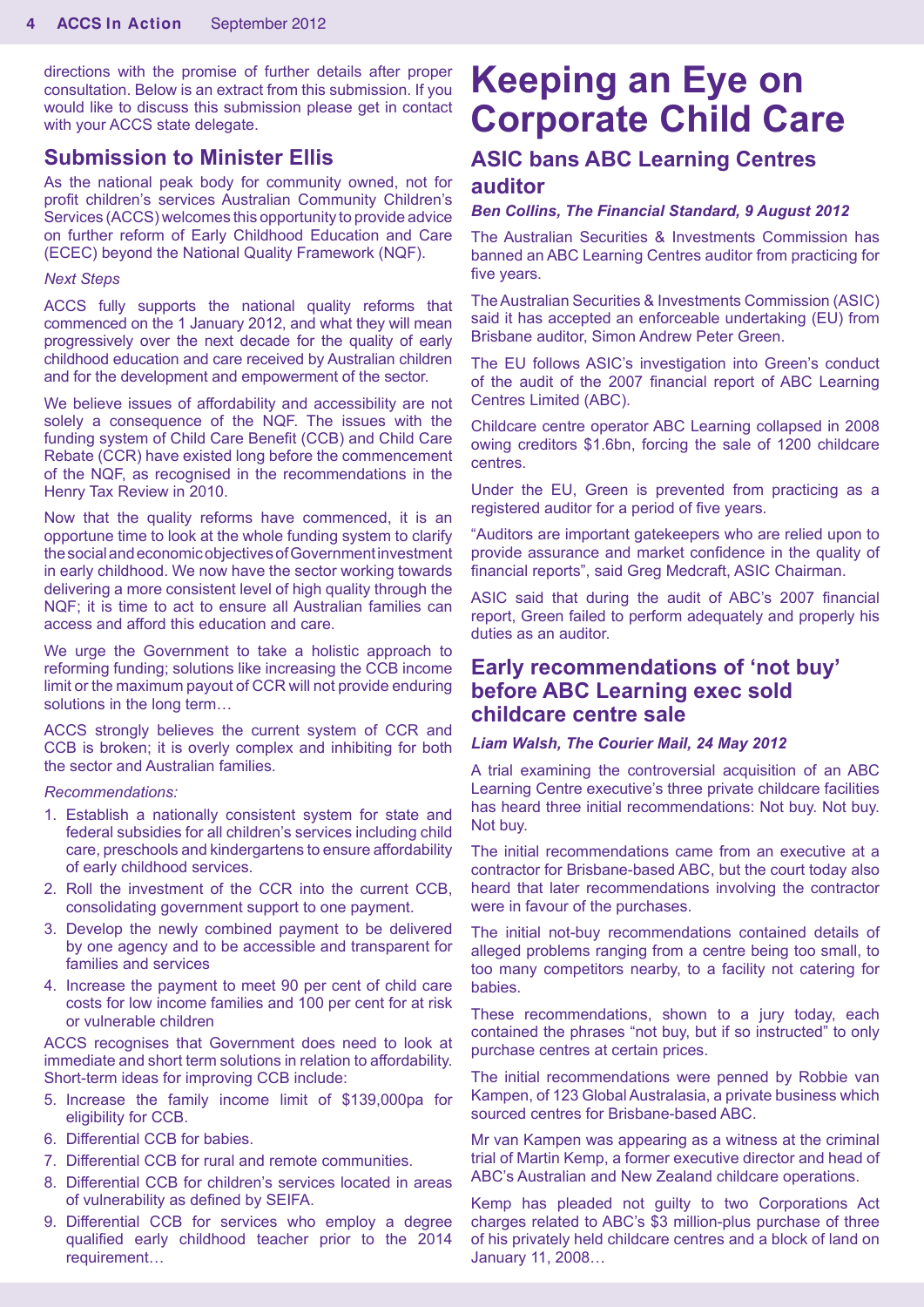directions with the promise of further details after proper consultation. Below is an extract from this submission. If you would like to discuss this submission please get in contact with your ACCS state delegate.

#### **Submission to Minister Ellis**

As the national peak body for community owned, not for profit children's services Australian Community Children's Services (ACCS) welcomes this opportunity to provide advice on further reform of Early Childhood Education and Care (ECEC) beyond the National Quality Framework (NQF).

#### *Next Steps*

ACCS fully supports the national quality reforms that commenced on the 1 January 2012, and what they will mean progressively over the next decade for the quality of early childhood education and care received by Australian children and for the development and empowerment of the sector.

We believe issues of affordability and accessibility are not solely a consequence of the NQF. The issues with the funding system of Child Care Benefit (CCB) and Child Care Rebate (CCR) have existed long before the commencement of the NQF, as recognised in the recommendations in the Henry Tax Review in 2010.

Now that the quality reforms have commenced, it is an opportune time to look at the whole funding system to clarify the social and economic objectives of Government investment in early childhood. We now have the sector working towards delivering a more consistent level of high quality through the NQF; it is time to act to ensure all Australian families can access and afford this education and care.

We urge the Government to take a holistic approach to reforming funding; solutions like increasing the CCB income limit or the maximum payout of CCR will not provide enduring solutions in the long term…

ACCS strongly believes the current system of CCR and CCB is broken; it is overly complex and inhibiting for both the sector and Australian families.

#### *Recommendations:*

- 1. Establish a nationally consistent system for state and federal subsidies for all children's services including child care, preschools and kindergartens to ensure affordability of early childhood services.
- 2. Roll the investment of the CCR into the current CCB, consolidating government support to one payment.
- 3. Develop the newly combined payment to be delivered by one agency and to be accessible and transparent for families and services
- 4. Increase the payment to meet 90 per cent of child care costs for low income families and 100 per cent for at risk or vulnerable children

ACCS recognises that Government does need to look at immediate and short term solutions in relation to affordability. Short-term ideas for improving CCB include:

- 5. Increase the family income limit of \$139,000pa for eligibility for CCB.
- 6. Differential CCB for babies.
- 7. Differential CCB for rural and remote communities.
- 8. Differential CCB for children's services located in areas of vulnerability as defined by SEIFA.
- 9. Differential CCB for services who employ a degree qualified early childhood teacher prior to the 2014 requirement…

# **Keeping an Eye on Corporate Child Care**

# **ASIC bans ABC Learning Centres auditor**

#### *Ben Collins, The Financial Standard, 9 August 2012*

The Australian Securities & Investments Commission has banned an ABC Learning Centres auditor from practicing for five years.

The Australian Securities & Investments Commission (ASIC) said it has accepted an enforceable undertaking (EU) from Brisbane auditor, Simon Andrew Peter Green.

The EU follows ASIC's investigation into Green's conduct of the audit of the 2007 financial report of ABC Learning Centres Limited (ABC).

Childcare centre operator ABC Learning collapsed in 2008 owing creditors \$1.6bn, forcing the sale of 1200 childcare centres.

Under the EU, Green is prevented from practicing as a registered auditor for a period of five years.

"Auditors are important gatekeepers who are relied upon to provide assurance and market confidence in the quality of financial reports", said Greg Medcraft, ASIC Chairman.

ASIC said that during the audit of ABC's 2007 financial report, Green failed to perform adequately and properly his duties as an auditor.

## **Early recommendations of 'not buy' before ABC Learning exec sold childcare centre sale**

#### *Liam Walsh, The Courier Mail, 24 May 2012*

A trial examining the controversial acquisition of an ABC Learning Centre executive's three private childcare facilities has heard three initial recommendations: Not buy. Not buy. Not buy.

The initial recommendations came from an executive at a contractor for Brisbane-based ABC, but the court today also heard that later recommendations involving the contractor were in favour of the purchases.

The initial not-buy recommendations contained details of alleged problems ranging from a centre being too small, to too many competitors nearby, to a facility not catering for babies.

These recommendations, shown to a jury today, each contained the phrases "not buy, but if so instructed" to only purchase centres at certain prices.

The initial recommendations were penned by Robbie van Kampen, of 123 Global Australasia, a private business which sourced centres for Brisbane-based ABC.

Mr van Kampen was appearing as a witness at the criminal trial of Martin Kemp, a former executive director and head of ABC's Australian and New Zealand childcare operations.

Kemp has pleaded not guilty to two Corporations Act charges related to ABC's \$3 million-plus purchase of three of his privately held childcare centres and a block of land on January 11, 2008…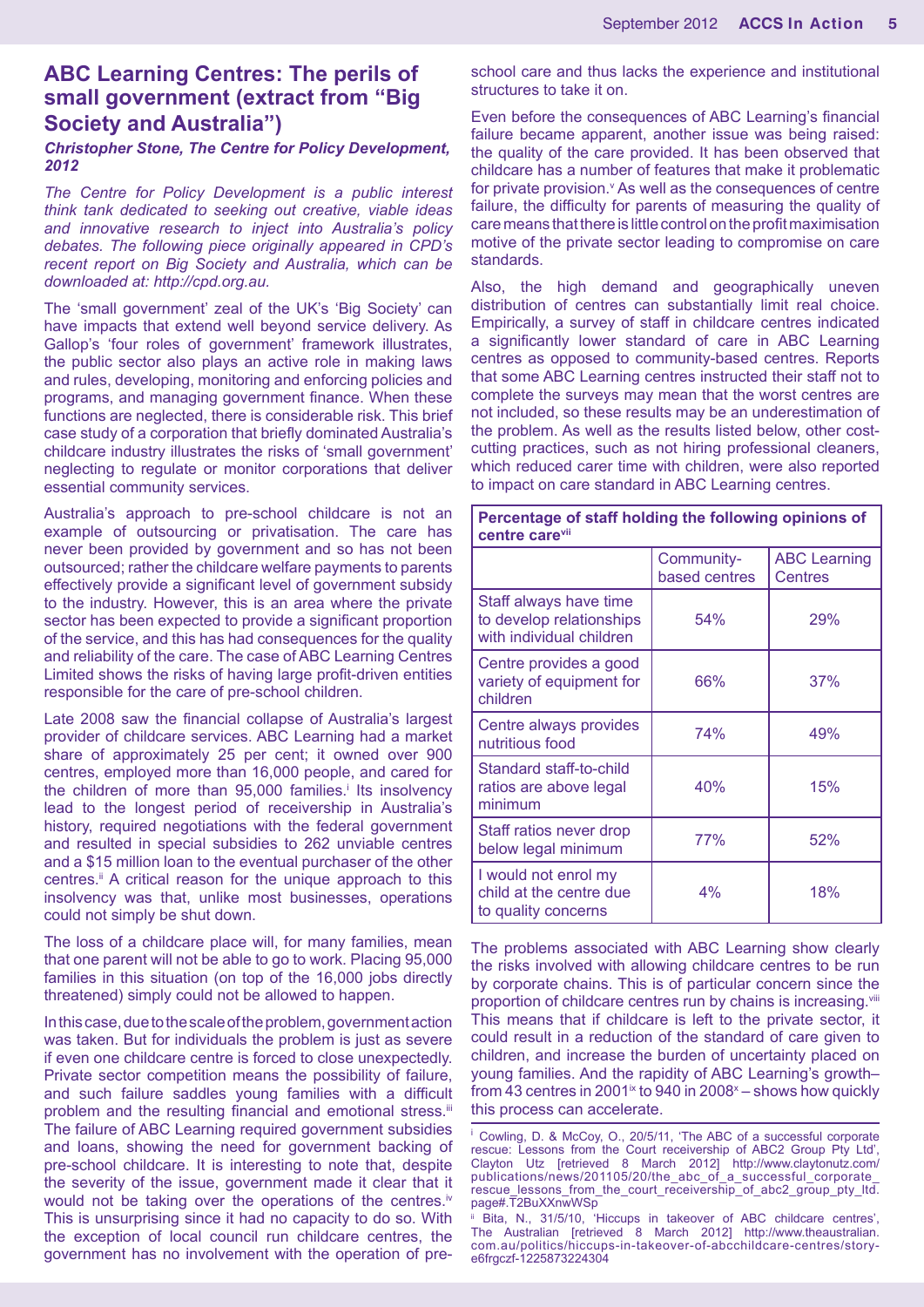# **ABC Learning Centres: The perils of small government (extract from "Big Society and Australia")**

#### *Christopher Stone, The Centre for Policy Development, 2012*

*The Centre for Policy Development is a public interest think tank dedicated to seeking out creative, viable ideas and innovative research to inject into Australia's policy debates. The following piece originally appeared in CPD's recent report on Big Society and Australia, which can be downloaded at: http://cpd.org.au.* 

The 'small government' zeal of the UK's 'Big Society' can have impacts that extend well beyond service delivery. As Gallop's 'four roles of government' framework illustrates, the public sector also plays an active role in making laws and rules, developing, monitoring and enforcing policies and programs, and managing government finance. When these functions are neglected, there is considerable risk. This brief case study of a corporation that briefly dominated Australia's childcare industry illustrates the risks of 'small government' neglecting to regulate or monitor corporations that deliver essential community services.

Australia's approach to pre-school childcare is not an example of outsourcing or privatisation. The care has never been provided by government and so has not been outsourced; rather the childcare welfare payments to parents effectively provide a significant level of government subsidy to the industry. However, this is an area where the private sector has been expected to provide a significant proportion of the service, and this has had consequences for the quality and reliability of the care. The case of ABC Learning Centres Limited shows the risks of having large profit-driven entities responsible for the care of pre-school children.

Late 2008 saw the financial collapse of Australia's largest provider of childcare services. ABC Learning had a market share of approximately 25 per cent; it owned over 900 centres, employed more than 16,000 people, and cared for the children of more than 95,000 families.<sup>†</sup> Its insolvency lead to the longest period of receivership in Australia's history, required negotiations with the federal government and resulted in special subsidies to 262 unviable centres and a \$15 million loan to the eventual purchaser of the other centres.ii A critical reason for the unique approach to this insolvency was that, unlike most businesses, operations could not simply be shut down.

The loss of a childcare place will, for many families, mean that one parent will not be able to go to work. Placing 95,000 families in this situation (on top of the 16,000 jobs directly threatened) simply could not be allowed to happen.

In this case, due to the scale of the problem, government action was taken. But for individuals the problem is just as severe if even one childcare centre is forced to close unexpectedly. Private sector competition means the possibility of failure, and such failure saddles young families with a difficult problem and the resulting financial and emotional stress.iii The failure of ABC Learning required government subsidies and loans, showing the need for government backing of pre-school childcare. It is interesting to note that, despite the severity of the issue, government made it clear that it would not be taking over the operations of the centres.<sup>iv</sup> This is unsurprising since it had no capacity to do so. With the exception of local council run childcare centres, the government has no involvement with the operation of preschool care and thus lacks the experience and institutional structures to take it on.

Even before the consequences of ABC Learning's financial failure became apparent, another issue was being raised: the quality of the care provided. It has been observed that childcare has a number of features that make it problematic for private provision.<sup>v</sup> As well as the consequences of centre failure, the difficulty for parents of measuring the quality of care means that there is little control on the profit maximisation motive of the private sector leading to compromise on care standards.

Also, the high demand and geographically uneven distribution of centres can substantially limit real choice. Empirically, a survey of staff in childcare centres indicated a significantly lower standard of care in ABC Learning centres as opposed to community-based centres. Reports that some ABC Learning centres instructed their staff not to complete the surveys may mean that the worst centres are not included, so these results may be an underestimation of the problem. As well as the results listed below, other costcutting practices, such as not hiring professional cleaners, which reduced carer time with children, were also reported to impact on care standard in ABC Learning centres.

| Percentage of staff holding the following opinions of<br>centre care <sup>vii</sup> |                             |                                       |
|-------------------------------------------------------------------------------------|-----------------------------|---------------------------------------|
|                                                                                     | Community-<br>based centres | <b>ABC Learning</b><br><b>Centres</b> |
| Staff always have time<br>to develop relationships<br>with individual children      | 54%                         | 29%                                   |
| Centre provides a good<br>variety of equipment for<br>children                      | 66%                         | 37%                                   |
| Centre always provides<br>nutritious food                                           | 74%                         | 49%                                   |
| Standard staff-to-child<br>ratios are above legal<br>minimum                        | 40%                         | 15%                                   |
| Staff ratios never drop<br>below legal minimum                                      | 77%                         | 52%                                   |
| I would not enrol my<br>child at the centre due<br>to quality concerns              | 4%                          | 18%                                   |

The problems associated with ABC Learning show clearly the risks involved with allowing childcare centres to be run by corporate chains. This is of particular concern since the proportion of childcare centres run by chains is increasing.<sup>viii</sup> This means that if childcare is left to the private sector, it could result in a reduction of the standard of care given to children, and increase the burden of uncertainty placed on young families. And the rapidity of ABC Learning's growth– from 43 centres in 2001 $\mathrm{K}$  to 940 in 2008 $\mathrm{K}$  – shows how quickly this process can accelerate.

<sup>&</sup>lt;sup>i</sup> Cowling, D. & McCoy, O., 20/5/11, 'The ABC of a successful corporate rescue: Lessons from the Court receivership of ABC2 Group Pty Ltd', Clayton Utz [retrieved 8 March 2012] http://www.claytonutz.com/ publications/news/201105/20/the\_abc\_of\_a\_successful\_corporate\_ rescue\_lessons\_from\_the\_court\_receivership\_of\_abc2\_group\_pty\_ltd. page#.T2BuXXnwWSp

ii Bita, N., 31/5/10, 'Hiccups in takeover of ABC childcare centres', The Australian [retrieved 8 March 2012] http://www.theaustralian. com.au/politics/hiccups-in-takeover-of-abcchildcare-centres/storye6frgczf-1225873224304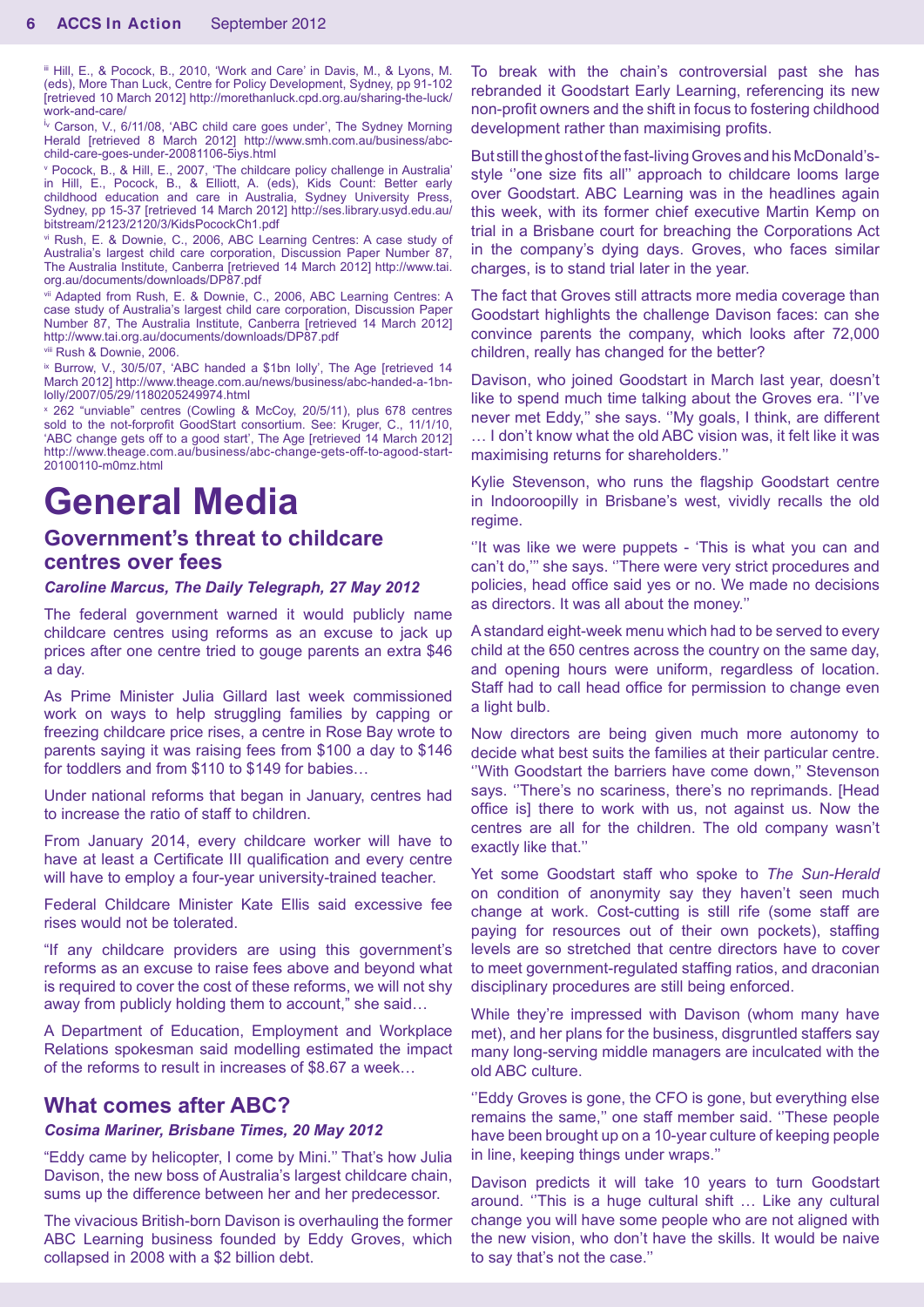iii Hill, E., & Pocock, B., 2010, 'Work and Care' in Davis, M., & Lyons, M. (eds), More Than Luck, Centre for Policy Development, Sydney, pp 91-102 [retrieved 10 March 2012] http://morethanluck.cpd.org.au/sharing-the-luck/ work-and-care/

<sup>i</sup> Carson, V., 6/11/08, 'ABC child care goes under', The Sydney Morning Herald [retrieved 8 March 2012] http://www.smh.com.au/business/abcchild-care-goes-under-20081106-5iys.html

v Pocock, B., & Hill, E., 2007, 'The childcare policy challenge in Australia' in Hill, E., Pocock, B., & Elliott, A. (eds), Kids Count: Better early childhood education and care in Australia, Sydney University Press, Sydney, pp 15-37 [retrieved 14 March 2012] http://ses.library.usyd.edu.au/ bitstream/2123/2120/3/KidsPocockCh1.pdf

vi Rush, E. & Downie, C., 2006, ABC Learning Centres: A case study of Australia's largest child care corporation, Discussion Paper Number 87, The Australia Institute, Canberra [retrieved 14 March 2012] http://www.tai. org.au/documents/downloads/DP87.pdf

vii Adapted from Rush, E. & Downie, C., 2006, ABC Learning Centres: A case study of Australia's largest child care corporation, Discussion Paper Number 87, The Australia Institute, Canberra [retrieved 14 March 2012] http://www.tai.org.au/documents/downloads/DP87.pdf

viii Rush & Downie, 2006.

<sup>ix</sup> Burrow, V., 30/5/07, 'ABC handed a \$1bn lolly', The Age [retrieved 14 March 2012] http://www.theage.com.au/news/business/abc-handed-a-1bnlolly/2007/05/29/1180205249974.html

x 262 "unviable" centres (Cowling & McCoy, 20/5/11), plus 678 centres sold to the not-forprofit GoodStart consortium. See: Kruger, C., 11/1/10, 'ABC change gets off to a good start', The Age [retrieved 14 March 2012] http://www.theage.com.au/business/abc-change-gets-off-to-agood-start-20100110-m0mz.html

# **General Media**

# **Government's threat to childcare centres over fees**

#### *Caroline Marcus, The Daily Telegraph, 27 May 2012*

The federal government warned it would publicly name childcare centres using reforms as an excuse to jack up prices after one centre tried to gouge parents an extra \$46 a day.

As Prime Minister Julia Gillard last week commissioned work on ways to help struggling families by capping or freezing childcare price rises, a centre in Rose Bay wrote to parents saying it was raising fees from \$100 a day to \$146 for toddlers and from \$110 to \$149 for babies…

Under national reforms that began in January, centres had to increase the ratio of staff to children.

From January 2014, every childcare worker will have to have at least a Certificate III qualification and every centre will have to employ a four-year university-trained teacher.

Federal Childcare Minister Kate Ellis said excessive fee rises would not be tolerated.

"If any childcare providers are using this government's reforms as an excuse to raise fees above and beyond what is required to cover the cost of these reforms, we will not shy away from publicly holding them to account," she said…

A Department of Education, Employment and Workplace Relations spokesman said modelling estimated the impact of the reforms to result in increases of \$8.67 a week…

### **What comes after ABC?**

#### *Cosima Mariner, Brisbane Times, 20 May 2012*

"Eddy came by helicopter, I come by Mini.'' That's how Julia Davison, the new boss of Australia's largest childcare chain, sums up the difference between her and her predecessor.

The vivacious British-born Davison is overhauling the former ABC Learning business founded by Eddy Groves, which collapsed in 2008 with a \$2 billion debt.

To break with the chain's controversial past she has rebranded it Goodstart Early Learning, referencing its new non-profit owners and the shift in focus to fostering childhood development rather than maximising profits.

But still the ghost of the fast-living Groves and his McDonald'sstyle ''one size fits all'' approach to childcare looms large over Goodstart. ABC Learning was in the headlines again this week, with its former chief executive Martin Kemp on trial in a Brisbane court for breaching the Corporations Act in the company's dying days. Groves, who faces similar charges, is to stand trial later in the year.

The fact that Groves still attracts more media coverage than Goodstart highlights the challenge Davison faces: can she convince parents the company, which looks after 72,000 children, really has changed for the better?

Davison, who joined Goodstart in March last year, doesn't like to spend much time talking about the Groves era. ''I've never met Eddy,'' she says. ''My goals, I think, are different … I don't know what the old ABC vision was, it felt like it was maximising returns for shareholders.''

Kylie Stevenson, who runs the flagship Goodstart centre in Indooroopilly in Brisbane's west, vividly recalls the old regime.

"It was like we were puppets - 'This is what you can and can't do,''' she says. ''There were very strict procedures and policies, head office said yes or no. We made no decisions as directors. It was all about the money.''

A standard eight-week menu which had to be served to every child at the 650 centres across the country on the same day, and opening hours were uniform, regardless of location. Staff had to call head office for permission to change even a light bulb.

Now directors are being given much more autonomy to decide what best suits the families at their particular centre. ''With Goodstart the barriers have come down,'' Stevenson says. "There's no scariness, there's no reprimands. [Head office is] there to work with us, not against us. Now the centres are all for the children. The old company wasn't exactly like that.''

Yet some Goodstart staff who spoke to *The Sun-Herald* on condition of anonymity say they haven't seen much change at work. Cost-cutting is still rife (some staff are paying for resources out of their own pockets), staffing levels are so stretched that centre directors have to cover to meet government-regulated staffing ratios, and draconian disciplinary procedures are still being enforced.

While they're impressed with Davison (whom many have met), and her plans for the business, disgruntled staffers say many long-serving middle managers are inculcated with the old ABC culture.

''Eddy Groves is gone, the CFO is gone, but everything else remains the same,'' one staff member said. ''These people have been brought up on a 10-year culture of keeping people in line, keeping things under wraps.''

Davison predicts it will take 10 years to turn Goodstart around. ''This is a huge cultural shift … Like any cultural change you will have some people who are not aligned with the new vision, who don't have the skills. It would be naive to say that's not the case.''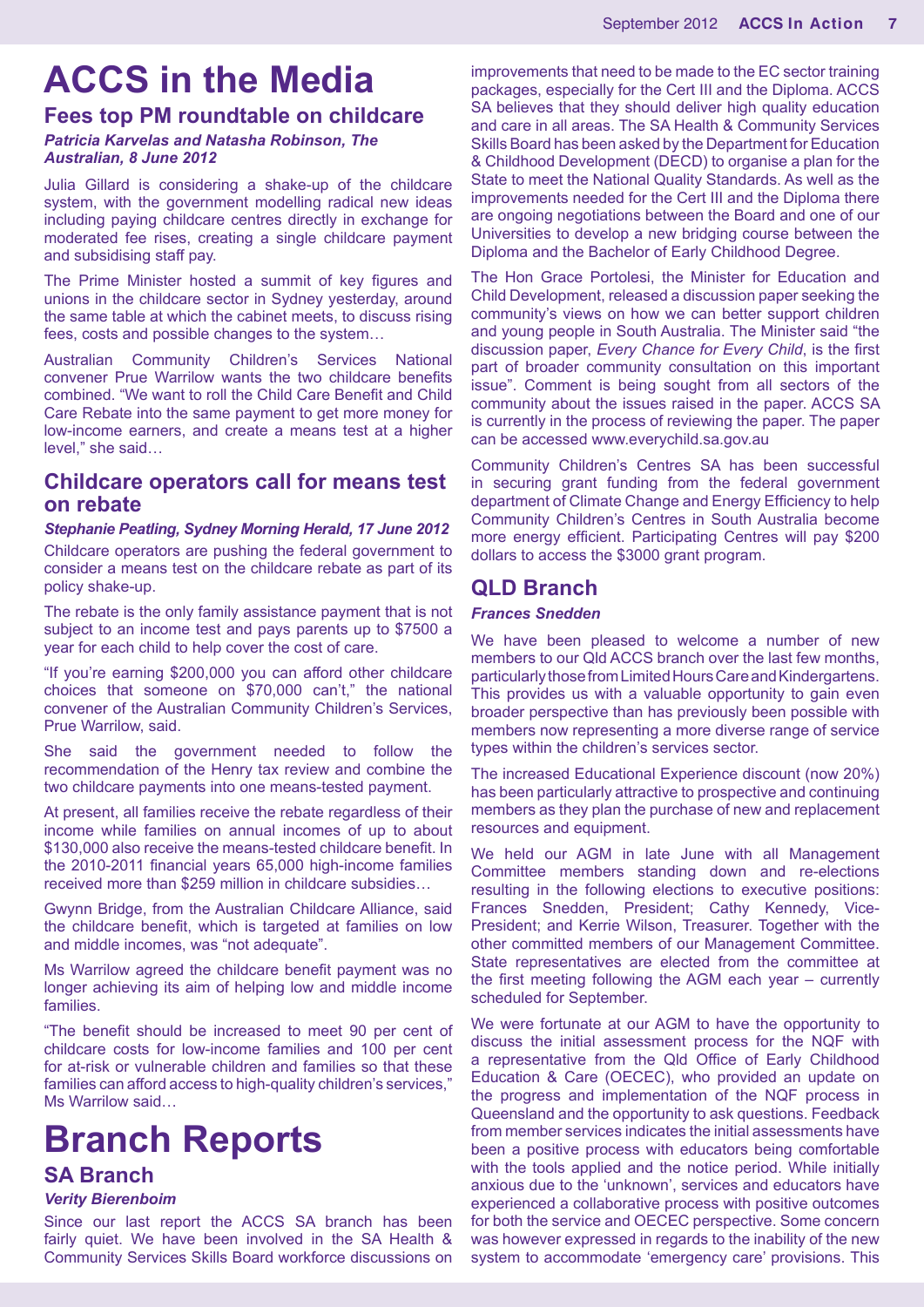# **ACCS in the Media**

# **Fees top PM roundtable on childcare**

#### *Patricia Karvelas and Natasha Robinson, The Australian, 8 June 2012*

Julia Gillard is considering a shake-up of the childcare system, with the government modelling radical new ideas including paying childcare centres directly in exchange for moderated fee rises, creating a single childcare payment and subsidising staff pay.

The Prime Minister hosted a summit of key figures and unions in the childcare sector in Sydney yesterday, around the same table at which the cabinet meets, to discuss rising fees, costs and possible changes to the system…

Australian Community Children's Services National convener Prue Warrilow wants the two childcare benefits combined. "We want to roll the Child Care Benefit and Child Care Rebate into the same payment to get more money for low-income earners, and create a means test at a higher level," she said…

### **Childcare operators call for means test on rebate**

#### *Stephanie Peatling, Sydney Morning Herald, 17 June 2012*

Childcare operators are pushing the federal government to consider a means test on the childcare rebate as part of its policy shake-up.

The rebate is the only family assistance payment that is not subject to an income test and pays parents up to \$7500 a year for each child to help cover the cost of care.

"If you're earning \$200,000 you can afford other childcare choices that someone on \$70,000 can't," the national convener of the Australian Community Children's Services, Prue Warrilow, said.

She said the government needed to follow the recommendation of the Henry tax review and combine the two childcare payments into one means-tested payment.

At present, all families receive the rebate regardless of their income while families on annual incomes of up to about \$130,000 also receive the means-tested childcare benefit. In the 2010-2011 financial years 65,000 high-income families received more than \$259 million in childcare subsidies…

Gwynn Bridge, from the Australian Childcare Alliance, said the childcare benefit, which is targeted at families on low and middle incomes, was "not adequate".

Ms Warrilow agreed the childcare benefit payment was no longer achieving its aim of helping low and middle income families.

"The benefit should be increased to meet 90 per cent of childcare costs for low-income families and 100 per cent for at-risk or vulnerable children and families so that these families can afford access to high-quality children's services." Ms Warrilow said…

# **Branch Reports**

#### **SA Branch**

#### *Verity Bierenboim*

Since our last report the ACCS SA branch has been fairly quiet. We have been involved in the SA Health & Community Services Skills Board workforce discussions on improvements that need to be made to the EC sector training packages, especially for the Cert III and the Diploma. ACCS SA believes that they should deliver high quality education and care in all areas. The SA Health & Community Services Skills Board has been asked by the Department for Education & Childhood Development (DECD) to organise a plan for the State to meet the National Quality Standards. As well as the improvements needed for the Cert III and the Diploma there are ongoing negotiations between the Board and one of our Universities to develop a new bridging course between the Diploma and the Bachelor of Early Childhood Degree.

The Hon Grace Portolesi, the Minister for Education and Child Development, released a discussion paper seeking the community's views on how we can better support children and young people in South Australia. The Minister said "the discussion paper, *Every Chance for Every Child*, is the first part of broader community consultation on this important issue". Comment is being sought from all sectors of the community about the issues raised in the paper. ACCS SA is currently in the process of reviewing the paper. The paper can be accessed www.everychild.sa.gov.au

Community Children's Centres SA has been successful in securing grant funding from the federal government department of Climate Change and Energy Efficiency to help Community Children's Centres in South Australia become more energy efficient. Participating Centres will pay \$200 dollars to access the \$3000 grant program.

### **QLD Branch**

#### *Frances Snedden*

We have been pleased to welcome a number of new members to our Qld ACCS branch over the last few months, particularly those from Limited Hours Care and Kindergartens. This provides us with a valuable opportunity to gain even broader perspective than has previously been possible with members now representing a more diverse range of service types within the children's services sector.

The increased Educational Experience discount (now 20%) has been particularly attractive to prospective and continuing members as they plan the purchase of new and replacement resources and equipment.

We held our AGM in late June with all Management Committee members standing down and re-elections resulting in the following elections to executive positions: Frances Snedden, President; Cathy Kennedy, Vice-President; and Kerrie Wilson, Treasurer. Together with the other committed members of our Management Committee. State representatives are elected from the committee at the first meeting following the AGM each year – currently scheduled for September.

We were fortunate at our AGM to have the opportunity to discuss the initial assessment process for the NQF with a representative from the Qld Office of Early Childhood Education & Care (OECEC), who provided an update on the progress and implementation of the NQF process in Queensland and the opportunity to ask questions. Feedback from member services indicates the initial assessments have been a positive process with educators being comfortable with the tools applied and the notice period. While initially anxious due to the 'unknown', services and educators have experienced a collaborative process with positive outcomes for both the service and OECEC perspective. Some concern was however expressed in regards to the inability of the new system to accommodate 'emergency care' provisions. This